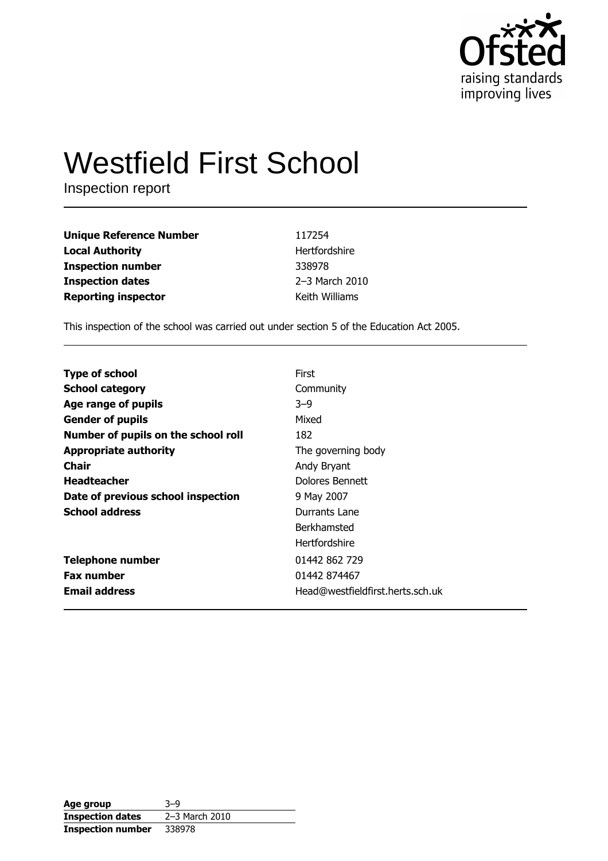

# **Westfield First School**

Inspection report

| <b>Unique Reference Number</b> | 117254         |
|--------------------------------|----------------|
| <b>Local Authority</b>         | Hertfordshire  |
| <b>Inspection number</b>       | 338978         |
| <b>Inspection dates</b>        | 2-3 March 2010 |
| <b>Reporting inspector</b>     | Keith Williams |

This inspection of the school was carried out under section 5 of the Education Act 2005.

| <b>Type of school</b>               | First                            |
|-------------------------------------|----------------------------------|
|                                     |                                  |
| <b>School category</b>              | Community                        |
| Age range of pupils                 | $3-9$                            |
| <b>Gender of pupils</b>             | Mixed                            |
| Number of pupils on the school roll | 182                              |
| <b>Appropriate authority</b>        | The governing body               |
| Chair                               | Andy Bryant                      |
| <b>Headteacher</b>                  | Dolores Bennett                  |
| Date of previous school inspection  | 9 May 2007                       |
| <b>School address</b>               | Durrants Lane                    |
|                                     | <b>Berkhamsted</b>               |
|                                     | <b>Hertfordshire</b>             |
| <b>Telephone number</b>             | 01442 862 729                    |
| <b>Fax number</b>                   | 01442 874467                     |
| <b>Email address</b>                | Head@westfieldfirst.herts.sch.uk |

| Age group                | $3 - 9$        |
|--------------------------|----------------|
| <b>Inspection dates</b>  | 2-3 March 2010 |
| <b>Inspection number</b> | 338978         |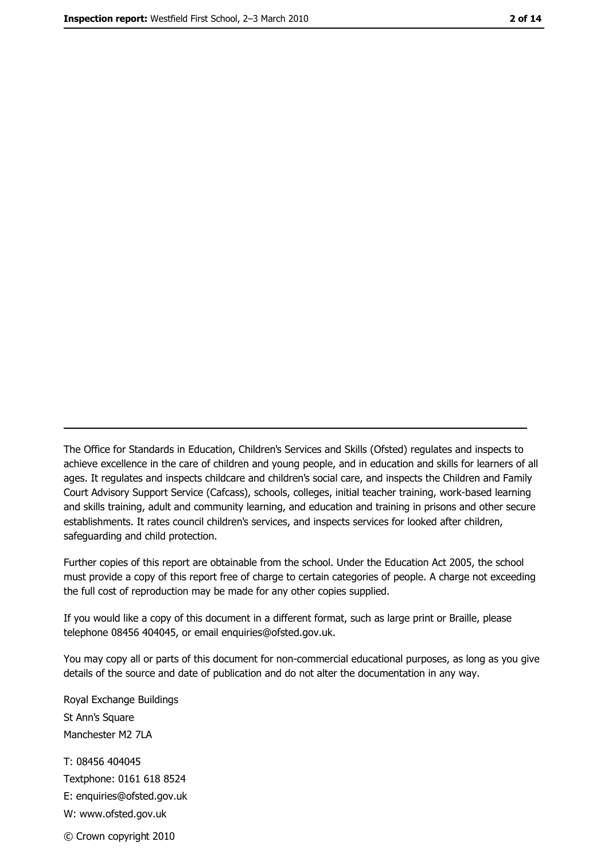The Office for Standards in Education, Children's Services and Skills (Ofsted) regulates and inspects to achieve excellence in the care of children and young people, and in education and skills for learners of all ages. It regulates and inspects childcare and children's social care, and inspects the Children and Family Court Advisory Support Service (Cafcass), schools, colleges, initial teacher training, work-based learning and skills training, adult and community learning, and education and training in prisons and other secure establishments. It rates council children's services, and inspects services for looked after children, safequarding and child protection.

Further copies of this report are obtainable from the school. Under the Education Act 2005, the school must provide a copy of this report free of charge to certain categories of people. A charge not exceeding the full cost of reproduction may be made for any other copies supplied.

If you would like a copy of this document in a different format, such as large print or Braille, please telephone 08456 404045, or email enquiries@ofsted.gov.uk.

You may copy all or parts of this document for non-commercial educational purposes, as long as you give details of the source and date of publication and do not alter the documentation in any way.

Royal Exchange Buildings St Ann's Square Manchester M2 7LA T: 08456 404045 Textphone: 0161 618 8524 E: enquiries@ofsted.gov.uk W: www.ofsted.gov.uk © Crown copyright 2010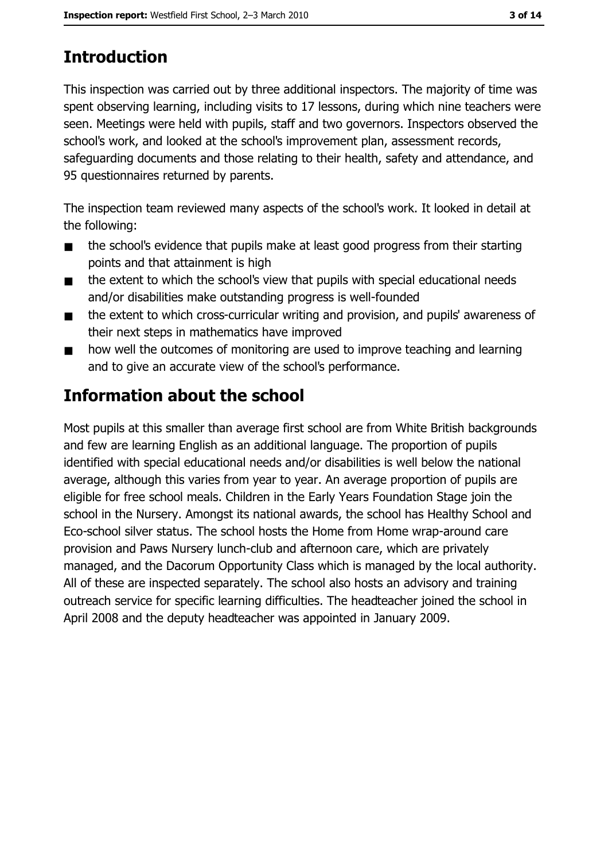# **Introduction**

This inspection was carried out by three additional inspectors. The majority of time was spent observing learning, including visits to 17 lessons, during which nine teachers were seen. Meetings were held with pupils, staff and two governors. Inspectors observed the school's work, and looked at the school's improvement plan, assessment records, safeguarding documents and those relating to their health, safety and attendance, and 95 questionnaires returned by parents.

The inspection team reviewed many aspects of the school's work. It looked in detail at the following:

- the school's evidence that pupils make at least good progress from their starting  $\blacksquare$ points and that attainment is high
- the extent to which the school's view that pupils with special educational needs  $\blacksquare$ and/or disabilities make outstanding progress is well-founded
- the extent to which cross-curricular writing and provision, and pupils' awareness of  $\blacksquare$ their next steps in mathematics have improved
- how well the outcomes of monitoring are used to improve teaching and learning  $\blacksquare$ and to give an accurate view of the school's performance.

# **Information about the school**

Most pupils at this smaller than average first school are from White British backgrounds and few are learning English as an additional language. The proportion of pupils identified with special educational needs and/or disabilities is well below the national average, although this varies from year to year. An average proportion of pupils are eligible for free school meals. Children in the Early Years Foundation Stage join the school in the Nursery. Amongst its national awards, the school has Healthy School and Eco-school silver status. The school hosts the Home from Home wrap-around care provision and Paws Nursery lunch-club and afternoon care, which are privately managed, and the Dacorum Opportunity Class which is managed by the local authority. All of these are inspected separately. The school also hosts an advisory and training outreach service for specific learning difficulties. The headteacher joined the school in April 2008 and the deputy headteacher was appointed in January 2009.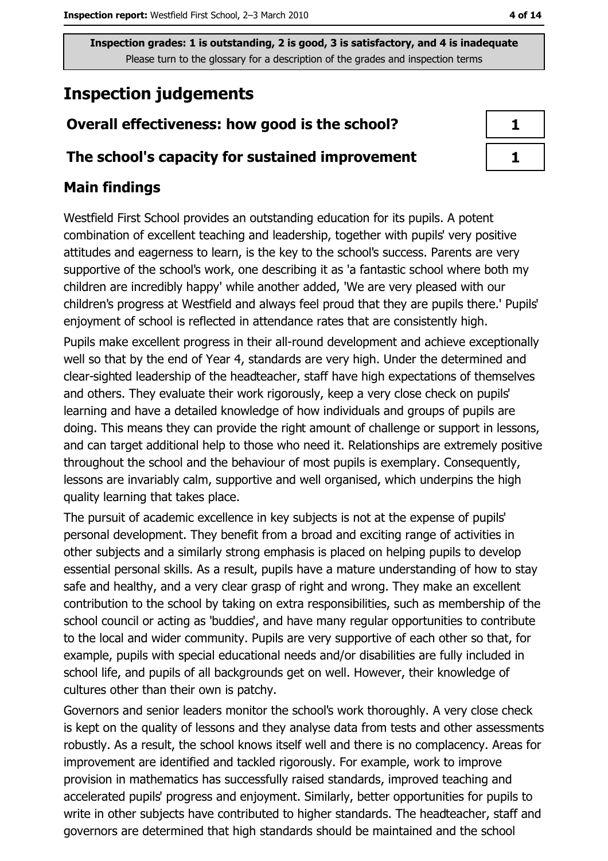# **Inspection judgements**

# Overall effectiveness: how good is the school?

### The school's capacity for sustained improvement

## **Main findings**

Westfield First School provides an outstanding education for its pupils. A potent combination of excellent teaching and leadership, together with pupils' very positive attitudes and eagerness to learn, is the key to the school's success. Parents are very supportive of the school's work, one describing it as 'a fantastic school where both my children are incredibly happy' while another added, 'We are very pleased with our children's progress at Westfield and always feel proud that they are pupils there.' Pupils' enjoyment of school is reflected in attendance rates that are consistently high.

Pupils make excellent progress in their all-round development and achieve exceptionally well so that by the end of Year 4, standards are very high. Under the determined and clear-sighted leadership of the headteacher, staff have high expectations of themselves and others. They evaluate their work rigorously, keep a very close check on pupils' learning and have a detailed knowledge of how individuals and groups of pupils are doing. This means they can provide the right amount of challenge or support in lessons, and can target additional help to those who need it. Relationships are extremely positive throughout the school and the behaviour of most pupils is exemplary. Consequently, lessons are invariably calm, supportive and well organised, which underpins the high quality learning that takes place.

The pursuit of academic excellence in key subjects is not at the expense of pupils' personal development. They benefit from a broad and exciting range of activities in other subjects and a similarly strong emphasis is placed on helping pupils to develop essential personal skills. As a result, pupils have a mature understanding of how to stay safe and healthy, and a very clear grasp of right and wrong. They make an excellent contribution to the school by taking on extra responsibilities, such as membership of the school council or acting as 'buddies', and have many regular opportunities to contribute to the local and wider community. Pupils are very supportive of each other so that, for example, pupils with special educational needs and/or disabilities are fully included in school life, and pupils of all backgrounds get on well. However, their knowledge of cultures other than their own is patchy.

Governors and senior leaders monitor the school's work thoroughly. A very close check is kept on the quality of lessons and they analyse data from tests and other assessments robustly. As a result, the school knows itself well and there is no complacency. Areas for improvement are identified and tackled rigorously. For example, work to improve provision in mathematics has successfully raised standards, improved teaching and accelerated pupils' progress and enjoyment. Similarly, better opportunities for pupils to write in other subjects have contributed to higher standards. The headteacher, staff and governors are determined that high standards should be maintained and the school

| ı<br>۰ |
|--------|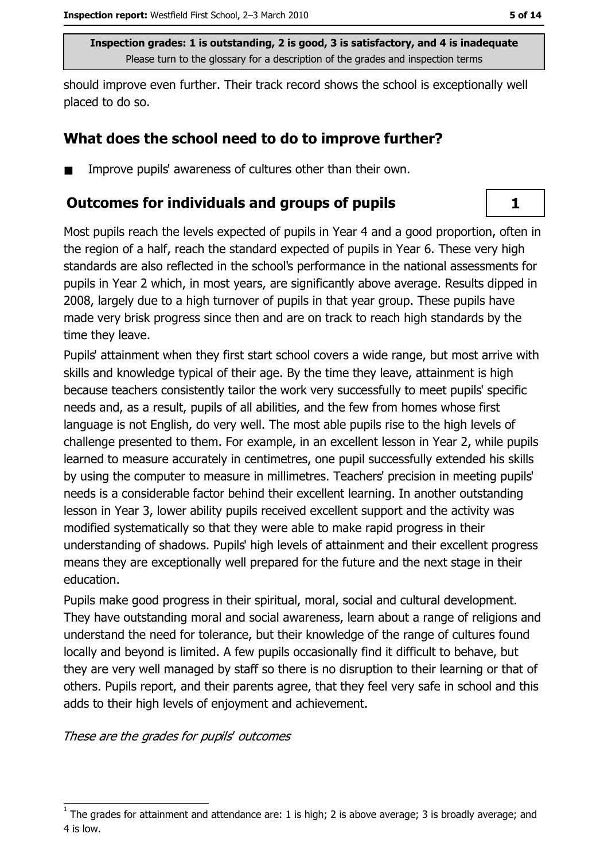should improve even further. Their track record shows the school is exceptionally well placed to do so.

# What does the school need to do to improve further?

Improve pupils' awareness of cultures other than their own.  $\blacksquare$ 

## **Outcomes for individuals and groups of pupils**

Most pupils reach the levels expected of pupils in Year 4 and a good proportion, often in the region of a half, reach the standard expected of pupils in Year 6. These very high standards are also reflected in the school's performance in the national assessments for pupils in Year 2 which, in most years, are significantly above average. Results dipped in 2008, largely due to a high turnover of pupils in that year group. These pupils have made very brisk progress since then and are on track to reach high standards by the time they leave.

Pupils' attainment when they first start school covers a wide range, but most arrive with skills and knowledge typical of their age. By the time they leave, attainment is high because teachers consistently tailor the work very successfully to meet pupils' specific needs and, as a result, pupils of all abilities, and the few from homes whose first language is not English, do very well. The most able pupils rise to the high levels of challenge presented to them. For example, in an excellent lesson in Year 2, while pupils learned to measure accurately in centimetres, one pupil successfully extended his skills by using the computer to measure in millimetres. Teachers' precision in meeting pupils' needs is a considerable factor behind their excellent learning. In another outstanding lesson in Year 3, lower ability pupils received excellent support and the activity was modified systematically so that they were able to make rapid progress in their understanding of shadows. Pupils' high levels of attainment and their excellent progress means they are exceptionally well prepared for the future and the next stage in their education.

Pupils make good progress in their spiritual, moral, social and cultural development. They have outstanding moral and social awareness, learn about a range of religions and understand the need for tolerance, but their knowledge of the range of cultures found locally and beyond is limited. A few pupils occasionally find it difficult to behave, but they are very well managed by staff so there is no disruption to their learning or that of others. Pupils report, and their parents agree, that they feel very safe in school and this adds to their high levels of enjoyment and achievement.

These are the grades for pupils' outcomes

 $\mathbf{1}$ 

The grades for attainment and attendance are: 1 is high; 2 is above average; 3 is broadly average; and 4 is low.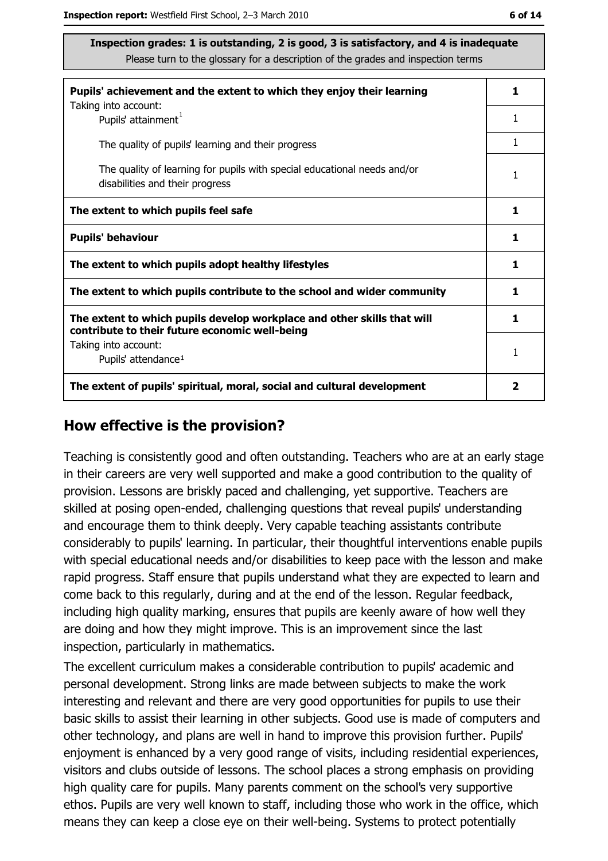| Pupils' achievement and the extent to which they enjoy their learning                                                     | 1. |
|---------------------------------------------------------------------------------------------------------------------------|----|
| Taking into account:<br>Pupils' attainment <sup>1</sup>                                                                   | 1  |
| The quality of pupils' learning and their progress                                                                        | 1  |
| The quality of learning for pupils with special educational needs and/or<br>disabilities and their progress               | 1  |
| The extent to which pupils feel safe                                                                                      | 1  |
| <b>Pupils' behaviour</b>                                                                                                  | 1  |
| The extent to which pupils adopt healthy lifestyles                                                                       | 1  |
| The extent to which pupils contribute to the school and wider community                                                   | 1  |
| The extent to which pupils develop workplace and other skills that will<br>contribute to their future economic well-being | 1  |
| Taking into account:<br>Pupils' attendance <sup>1</sup>                                                                   | 1  |
| The extent of pupils' spiritual, moral, social and cultural development                                                   |    |

#### How effective is the provision?

Teaching is consistently good and often outstanding. Teachers who are at an early stage in their careers are very well supported and make a good contribution to the quality of provision. Lessons are briskly paced and challenging, yet supportive. Teachers are skilled at posing open-ended, challenging questions that reveal pupils' understanding and encourage them to think deeply. Very capable teaching assistants contribute considerably to pupils' learning. In particular, their thoughtful interventions enable pupils with special educational needs and/or disabilities to keep pace with the lesson and make rapid progress. Staff ensure that pupils understand what they are expected to learn and come back to this regularly, during and at the end of the lesson. Regular feedback, including high quality marking, ensures that pupils are keenly aware of how well they are doing and how they might improve. This is an improvement since the last inspection, particularly in mathematics.

The excellent curriculum makes a considerable contribution to pupils' academic and personal development. Strong links are made between subjects to make the work interesting and relevant and there are very good opportunities for pupils to use their basic skills to assist their learning in other subjects. Good use is made of computers and other technology, and plans are well in hand to improve this provision further. Pupils' enjoyment is enhanced by a very good range of visits, including residential experiences, visitors and clubs outside of lessons. The school places a strong emphasis on providing high quality care for pupils. Many parents comment on the school's very supportive ethos. Pupils are very well known to staff, including those who work in the office, which means they can keep a close eye on their well-being. Systems to protect potentially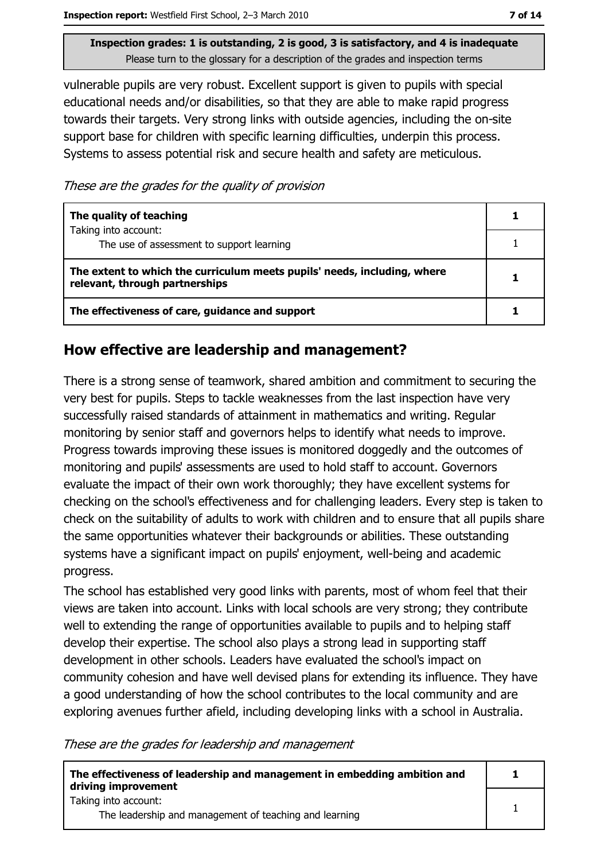vulnerable pupils are very robust. Excellent support is given to pupils with special educational needs and/or disabilities, so that they are able to make rapid progress towards their targets. Very strong links with outside agencies, including the on-site support base for children with specific learning difficulties, underpin this process. Systems to assess potential risk and secure health and safety are meticulous.

These are the grades for the quality of provision

| The quality of teaching                                                                                    |  |
|------------------------------------------------------------------------------------------------------------|--|
| Taking into account:<br>The use of assessment to support learning                                          |  |
| The extent to which the curriculum meets pupils' needs, including, where<br>relevant, through partnerships |  |
| The effectiveness of care, guidance and support                                                            |  |

## How effective are leadership and management?

There is a strong sense of teamwork, shared ambition and commitment to securing the very best for pupils. Steps to tackle weaknesses from the last inspection have very successfully raised standards of attainment in mathematics and writing. Regular monitoring by senior staff and governors helps to identify what needs to improve. Progress towards improving these issues is monitored doggedly and the outcomes of monitoring and pupils' assessments are used to hold staff to account. Governors evaluate the impact of their own work thoroughly; they have excellent systems for checking on the school's effectiveness and for challenging leaders. Every step is taken to check on the suitability of adults to work with children and to ensure that all pupils share the same opportunities whatever their backgrounds or abilities. These outstanding systems have a significant impact on pupils' enjoyment, well-being and academic progress.

The school has established very good links with parents, most of whom feel that their views are taken into account. Links with local schools are very strong; they contribute well to extending the range of opportunities available to pupils and to helping staff develop their expertise. The school also plays a strong lead in supporting staff development in other schools. Leaders have evaluated the school's impact on community cohesion and have well devised plans for extending its influence. They have a good understanding of how the school contributes to the local community and are exploring avenues further afield, including developing links with a school in Australia.

These are the grades for leadership and management

| The effectiveness of leadership and management in embedding ambition and<br>driving improvement |  |
|-------------------------------------------------------------------------------------------------|--|
| Taking into account:<br>The leadership and management of teaching and learning                  |  |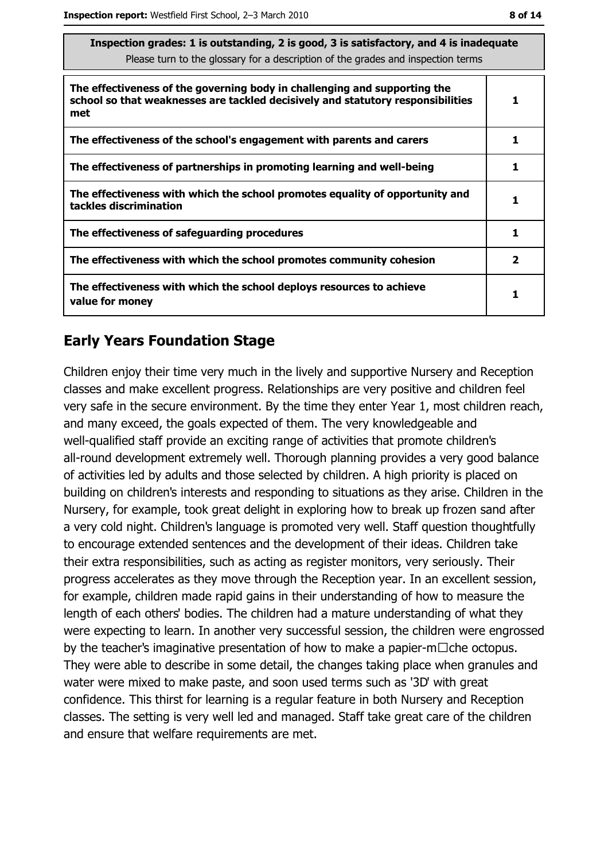| Inspection grades: 1 is outstanding, 2 is good, 3 is satisfactory, and 4 is inadequate<br>Please turn to the glossary for a description of the grades and inspection terms |              |
|----------------------------------------------------------------------------------------------------------------------------------------------------------------------------|--------------|
| The effectiveness of the governing body in challenging and supporting the<br>school so that weaknesses are tackled decisively and statutory responsibilities<br>met        | 1            |
| The effectiveness of the school's engagement with parents and carers                                                                                                       | 1            |
| The effectiveness of partnerships in promoting learning and well-being                                                                                                     | 1            |
| The effectiveness with which the school promotes equality of opportunity and<br>tackles discrimination                                                                     | 1            |
| The effectiveness of safeguarding procedures                                                                                                                               | 1            |
| The effectiveness with which the school promotes community cohesion                                                                                                        | $\mathbf{2}$ |
| The effectiveness with which the school deploys resources to achieve                                                                                                       |              |

## **Early Years Foundation Stage**

value for monev

Children enjoy their time very much in the lively and supportive Nursery and Reception classes and make excellent progress. Relationships are very positive and children feel very safe in the secure environment. By the time they enter Year 1, most children reach, and many exceed, the goals expected of them. The very knowledgeable and well-qualified staff provide an exciting range of activities that promote children's all-round development extremely well. Thorough planning provides a very good balance of activities led by adults and those selected by children. A high priority is placed on building on children's interests and responding to situations as they arise. Children in the Nursery, for example, took great delight in exploring how to break up frozen sand after a very cold night. Children's language is promoted very well. Staff question thoughtfully to encourage extended sentences and the development of their ideas. Children take their extra responsibilities, such as acting as register monitors, very seriously. Their progress accelerates as they move through the Reception year. In an excellent session, for example, children made rapid gains in their understanding of how to measure the length of each others' bodies. The children had a mature understanding of what they were expecting to learn. In another very successful session, the children were engrossed by the teacher's imaginative presentation of how to make a papier-m $\Box$ che octopus. They were able to describe in some detail, the changes taking place when granules and water were mixed to make paste, and soon used terms such as '3D' with great confidence. This thirst for learning is a regular feature in both Nursery and Reception classes. The setting is very well led and managed. Staff take great care of the children and ensure that welfare requirements are met.

 $\mathbf{1}$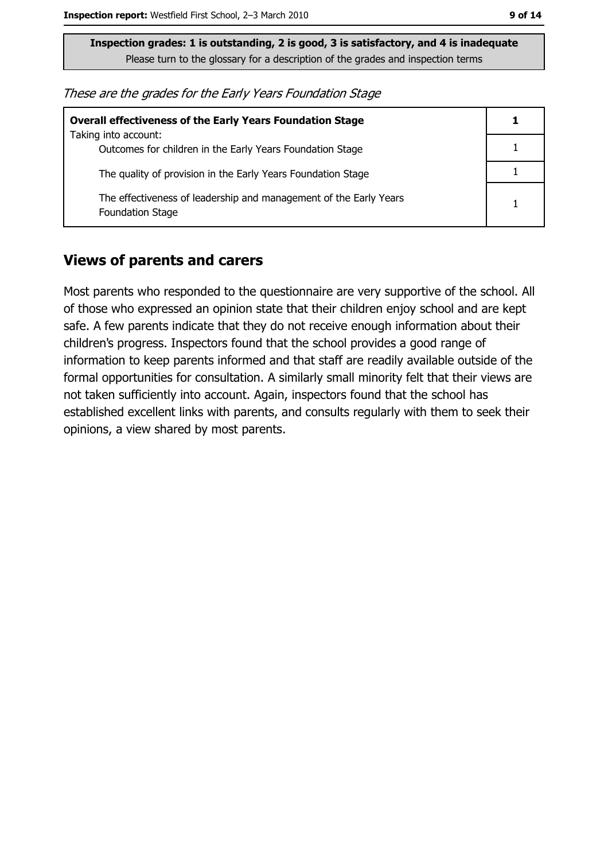| These are the grades for the Early Years Foundation Stage |  |  |
|-----------------------------------------------------------|--|--|
|-----------------------------------------------------------|--|--|

| <b>Overall effectiveness of the Early Years Foundation Stage</b>                             |  |
|----------------------------------------------------------------------------------------------|--|
| Taking into account:<br>Outcomes for children in the Early Years Foundation Stage            |  |
| The quality of provision in the Early Years Foundation Stage                                 |  |
| The effectiveness of leadership and management of the Early Years<br><b>Foundation Stage</b> |  |

#### **Views of parents and carers**

Most parents who responded to the questionnaire are very supportive of the school. All of those who expressed an opinion state that their children enjoy school and are kept safe. A few parents indicate that they do not receive enough information about their children's progress. Inspectors found that the school provides a good range of information to keep parents informed and that staff are readily available outside of the formal opportunities for consultation. A similarly small minority felt that their views are not taken sufficiently into account. Again, inspectors found that the school has established excellent links with parents, and consults regularly with them to seek their opinions, a view shared by most parents.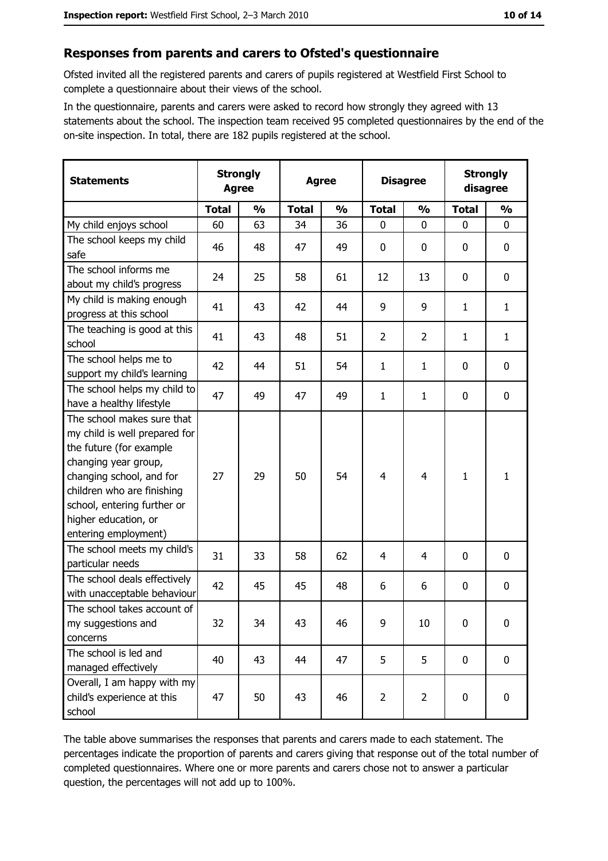#### Responses from parents and carers to Ofsted's questionnaire

Ofsted invited all the registered parents and carers of pupils registered at Westfield First School to complete a questionnaire about their views of the school.

In the questionnaire, parents and carers were asked to record how strongly they agreed with 13 statements about the school. The inspection team received 95 completed questionnaires by the end of the on-site inspection. In total, there are 182 pupils registered at the school.

| <b>Statements</b>                                                                                                                                                                                                                                       | <b>Strongly</b><br><b>Agree</b> | <b>Agree</b>  |              |               |                | <b>Disagree</b> | <b>Strongly</b><br>disagree |                  |
|---------------------------------------------------------------------------------------------------------------------------------------------------------------------------------------------------------------------------------------------------------|---------------------------------|---------------|--------------|---------------|----------------|-----------------|-----------------------------|------------------|
|                                                                                                                                                                                                                                                         | <b>Total</b>                    | $\frac{1}{2}$ | <b>Total</b> | $\frac{0}{0}$ | <b>Total</b>   | $\frac{0}{0}$   | <b>Total</b>                | $\frac{0}{0}$    |
| My child enjoys school                                                                                                                                                                                                                                  | 60                              | 63            | 34           | 36            | $\mathbf 0$    | 0               | $\mathbf 0$                 | $\mathbf 0$      |
| The school keeps my child<br>safe                                                                                                                                                                                                                       | 46                              | 48            | 47           | 49            | $\mathbf 0$    | 0               | 0                           | $\mathbf 0$      |
| The school informs me<br>about my child's progress                                                                                                                                                                                                      | 24                              | 25            | 58           | 61            | 12             | 13              | 0                           | 0                |
| My child is making enough<br>progress at this school                                                                                                                                                                                                    | 41                              | 43            | 42           | 44            | 9              | 9               | 1                           | $\mathbf{1}$     |
| The teaching is good at this<br>school                                                                                                                                                                                                                  | 41                              | 43            | 48           | 51            | $\overline{2}$ | $\overline{2}$  | 1                           | $\mathbf{1}$     |
| The school helps me to<br>support my child's learning                                                                                                                                                                                                   | 42                              | 44            | 51           | 54            | 1              | $\mathbf{1}$    | 0                           | $\mathbf 0$      |
| The school helps my child to<br>have a healthy lifestyle                                                                                                                                                                                                | 47                              | 49            | 47           | 49            | $\mathbf{1}$   | 1               | 0                           | $\mathbf 0$      |
| The school makes sure that<br>my child is well prepared for<br>the future (for example<br>changing year group,<br>changing school, and for<br>children who are finishing<br>school, entering further or<br>higher education, or<br>entering employment) | 27                              | 29            | 50           | 54            | $\overline{4}$ | $\overline{4}$  | $\mathbf{1}$                | $\mathbf{1}$     |
| The school meets my child's<br>particular needs                                                                                                                                                                                                         | 31                              | 33            | 58           | 62            | 4              | 4               | 0                           | $\boldsymbol{0}$ |
| The school deals effectively<br>with unacceptable behaviour                                                                                                                                                                                             | 42                              | 45            | 45           | 48            | 6              | 6               | 0                           | 0                |
| The school takes account of<br>my suggestions and<br>concerns                                                                                                                                                                                           | 32                              | 34            | 43           | 46            | 9              | 10              | $\mathbf 0$                 | $\mathbf 0$      |
| The school is led and<br>managed effectively                                                                                                                                                                                                            | 40                              | 43            | 44           | 47            | 5              | 5               | $\bf{0}$                    | $\mathbf 0$      |
| Overall, I am happy with my<br>child's experience at this<br>school                                                                                                                                                                                     | 47                              | 50            | 43           | 46            | $\overline{2}$ | $\overline{2}$  | 0                           | $\mathbf 0$      |

The table above summarises the responses that parents and carers made to each statement. The percentages indicate the proportion of parents and carers giving that response out of the total number of completed questionnaires. Where one or more parents and carers chose not to answer a particular question, the percentages will not add up to 100%.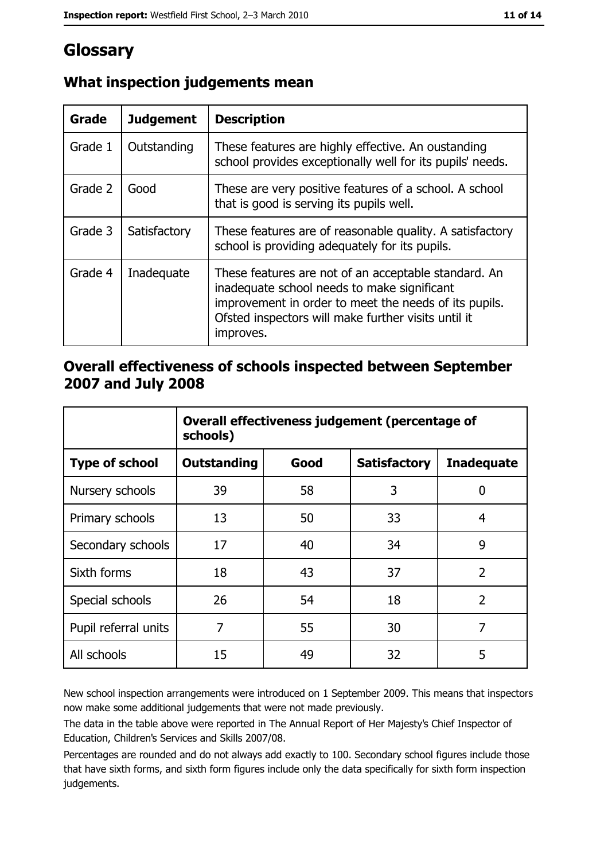# Glossary

| Grade   | <b>Judgement</b> | <b>Description</b>                                                                                                                                                                                                               |
|---------|------------------|----------------------------------------------------------------------------------------------------------------------------------------------------------------------------------------------------------------------------------|
| Grade 1 | Outstanding      | These features are highly effective. An oustanding<br>school provides exceptionally well for its pupils' needs.                                                                                                                  |
| Grade 2 | Good             | These are very positive features of a school. A school<br>that is good is serving its pupils well.                                                                                                                               |
| Grade 3 | Satisfactory     | These features are of reasonable quality. A satisfactory<br>school is providing adequately for its pupils.                                                                                                                       |
| Grade 4 | Inadequate       | These features are not of an acceptable standard. An<br>inadequate school needs to make significant<br>improvement in order to meet the needs of its pupils.<br>Ofsted inspectors will make further visits until it<br>improves. |

# What inspection judgements mean

# Overall effectiveness of schools inspected between September 2007 and July 2008

|                       | Overall effectiveness judgement (percentage of<br>schools) |      |                     |                   |
|-----------------------|------------------------------------------------------------|------|---------------------|-------------------|
| <b>Type of school</b> | <b>Outstanding</b>                                         | Good | <b>Satisfactory</b> | <b>Inadequate</b> |
| Nursery schools       | 39                                                         | 58   | 3                   | 0                 |
| Primary schools       | 13                                                         | 50   | 33                  | 4                 |
| Secondary schools     | 17                                                         | 40   | 34                  | 9                 |
| Sixth forms           | 18                                                         | 43   | 37                  | $\overline{2}$    |
| Special schools       | 26                                                         | 54   | 18                  | $\overline{2}$    |
| Pupil referral units  | 7                                                          | 55   | 30                  | 7                 |
| All schools           | 15                                                         | 49   | 32                  | 5                 |

New school inspection arrangements were introduced on 1 September 2009. This means that inspectors now make some additional judgements that were not made previously.

The data in the table above were reported in The Annual Report of Her Majesty's Chief Inspector of Education, Children's Services and Skills 2007/08.

Percentages are rounded and do not always add exactly to 100. Secondary school figures include those that have sixth forms, and sixth form figures include only the data specifically for sixth form inspection judgements.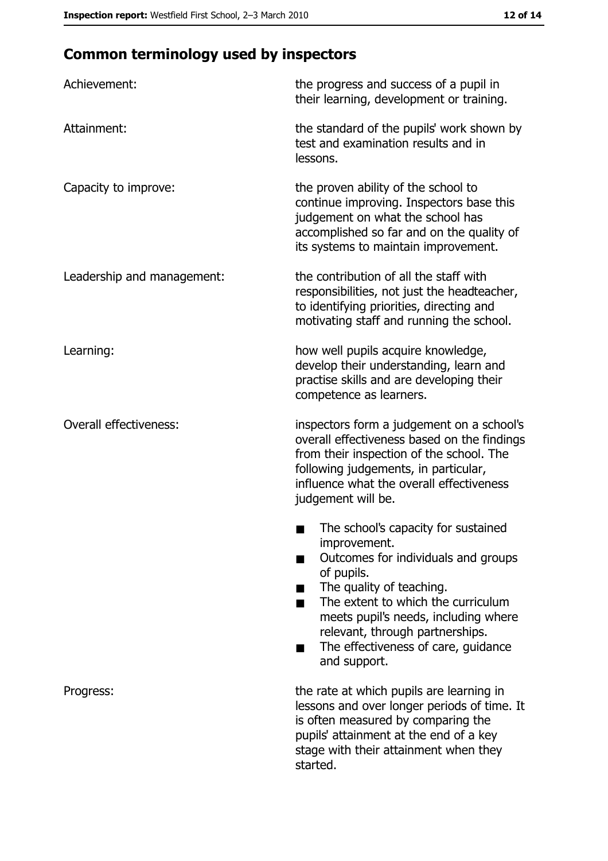# **Common terminology used by inspectors**

| Achievement:                  | the progress and success of a pupil in<br>their learning, development or training.                                                                                                                                                                                                                           |
|-------------------------------|--------------------------------------------------------------------------------------------------------------------------------------------------------------------------------------------------------------------------------------------------------------------------------------------------------------|
| Attainment:                   | the standard of the pupils' work shown by<br>test and examination results and in<br>lessons.                                                                                                                                                                                                                 |
| Capacity to improve:          | the proven ability of the school to<br>continue improving. Inspectors base this<br>judgement on what the school has<br>accomplished so far and on the quality of<br>its systems to maintain improvement.                                                                                                     |
| Leadership and management:    | the contribution of all the staff with<br>responsibilities, not just the headteacher,<br>to identifying priorities, directing and<br>motivating staff and running the school.                                                                                                                                |
| Learning:                     | how well pupils acquire knowledge,<br>develop their understanding, learn and<br>practise skills and are developing their<br>competence as learners.                                                                                                                                                          |
| <b>Overall effectiveness:</b> | inspectors form a judgement on a school's<br>overall effectiveness based on the findings<br>from their inspection of the school. The<br>following judgements, in particular,<br>influence what the overall effectiveness<br>judgement will be.                                                               |
|                               | The school's capacity for sustained<br>improvement.<br>Outcomes for individuals and groups<br>of pupils.<br>The quality of teaching.<br>The extent to which the curriculum<br>meets pupil's needs, including where<br>relevant, through partnerships.<br>The effectiveness of care, guidance<br>and support. |
| Progress:                     | the rate at which pupils are learning in<br>lessons and over longer periods of time. It<br>is often measured by comparing the<br>pupils' attainment at the end of a key<br>stage with their attainment when they<br>started.                                                                                 |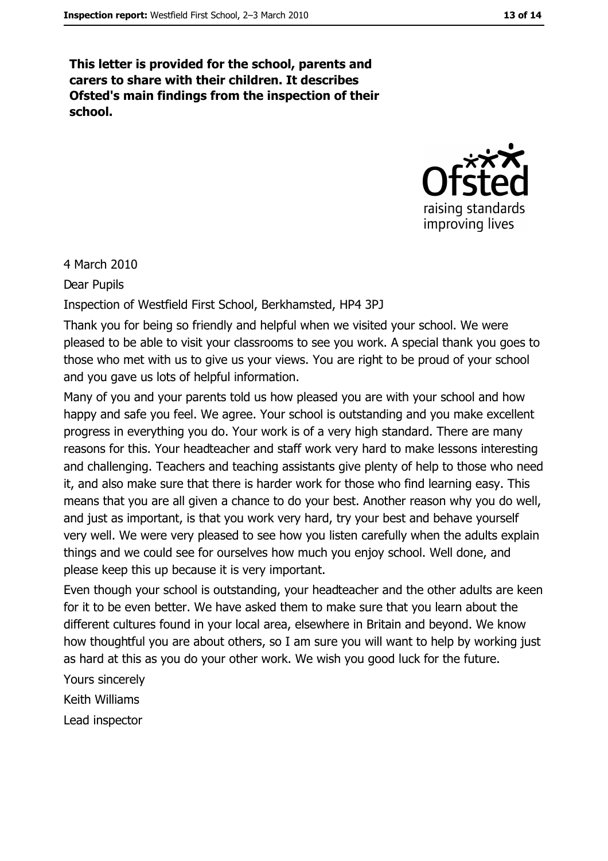This letter is provided for the school, parents and carers to share with their children. It describes Ofsted's main findings from the inspection of their school.



4 March 2010

Dear Pupils

Inspection of Westfield First School, Berkhamsted, HP4 3PJ

Thank you for being so friendly and helpful when we visited your school. We were pleased to be able to visit your classrooms to see you work. A special thank you goes to those who met with us to give us your views. You are right to be proud of your school and you gave us lots of helpful information.

Many of you and your parents told us how pleased you are with your school and how happy and safe you feel. We agree. Your school is outstanding and you make excellent progress in everything you do. Your work is of a very high standard. There are many reasons for this. Your headteacher and staff work very hard to make lessons interesting and challenging. Teachers and teaching assistants give plenty of help to those who need it, and also make sure that there is harder work for those who find learning easy. This means that you are all given a chance to do your best. Another reason why you do well, and just as important, is that you work very hard, try your best and behave yourself very well. We were very pleased to see how you listen carefully when the adults explain things and we could see for ourselves how much you enjoy school. Well done, and please keep this up because it is very important.

Even though your school is outstanding, your headteacher and the other adults are keen for it to be even better. We have asked them to make sure that you learn about the different cultures found in your local area, elsewhere in Britain and beyond. We know how thoughtful you are about others, so I am sure you will want to help by working just as hard at this as you do your other work. We wish you good luck for the future.

Yours sincerely Keith Williams Lead inspector